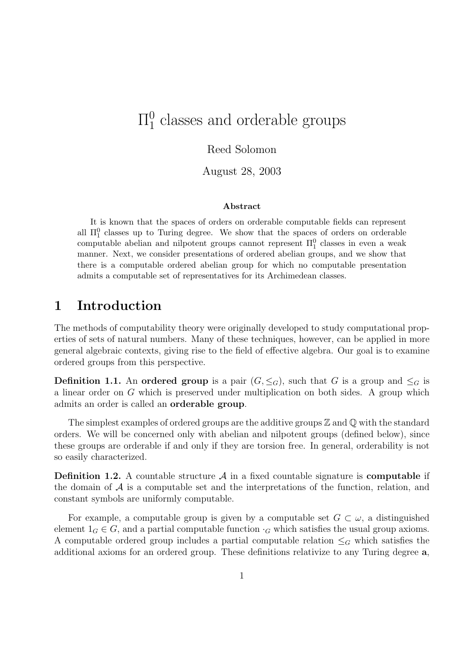#### $\Pi^0_1$  $_1^0$  classes and orderable groups

#### Reed Solomon

August 28, 2003

#### Abstract

It is known that the spaces of orders on orderable computable fields can represent all  $\Pi_1^0$  classes up to Turing degree. We show that the spaces of orders on orderable computable abelian and nilpotent groups cannot represent  $\Pi_1^0$  classes in even a weak manner. Next, we consider presentations of ordered abelian groups, and we show that there is a computable ordered abelian group for which no computable presentation admits a computable set of representatives for its Archimedean classes.

## 1 Introduction

The methods of computability theory were originally developed to study computational properties of sets of natural numbers. Many of these techniques, however, can be applied in more general algebraic contexts, giving rise to the field of effective algebra. Our goal is to examine ordered groups from this perspective.

**Definition 1.1.** An ordered group is a pair  $(G, \leq_G)$ , such that G is a group and  $\leq_G$  is a linear order on G which is preserved under multiplication on both sides. A group which admits an order is called an orderable group.

The simplest examples of ordered groups are the additive groups  $\mathbb Z$  and  $\mathbb Q$  with the standard orders. We will be concerned only with abelian and nilpotent groups (defined below), since these groups are orderable if and only if they are torsion free. In general, orderability is not so easily characterized.

**Definition 1.2.** A countable structure  $\mathcal A$  in a fixed countable signature is **computable** if the domain of  $A$  is a computable set and the interpretations of the function, relation, and constant symbols are uniformly computable.

For example, a computable group is given by a computable set  $G \subset \omega$ , a distinguished element  $1_G \in G$ , and a partial computable function  $\cdot_G$  which satisfies the usual group axioms. A computable ordered group includes a partial computable relation  $\leq_G$  which satisfies the additional axioms for an ordered group. These definitions relativize to any Turing degree a,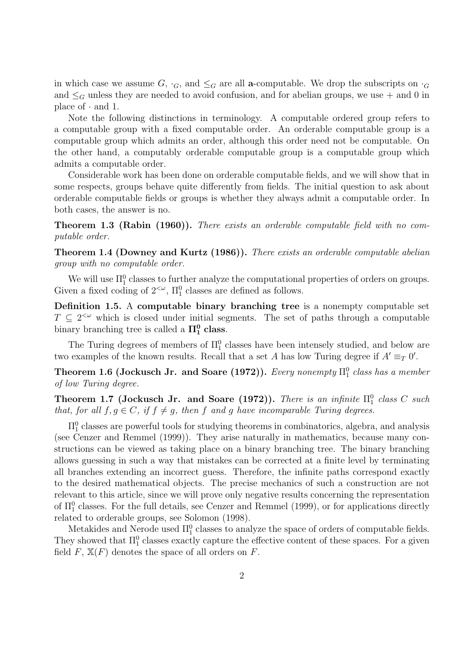in which case we assume G,  $\cdot_G$ , and  $\leq_G$  are all **a**-computable. We drop the subscripts on  $\cdot_G$ and  $\leq_G$  unless they are needed to avoid confusion, and for abelian groups, we use  $+$  and 0 in place of  $\cdot$  and 1.

Note the following distinctions in terminology. A computable ordered group refers to a computable group with a fixed computable order. An orderable computable group is a computable group which admits an order, although this order need not be computable. On the other hand, a computably orderable computable group is a computable group which admits a computable order.

Considerable work has been done on orderable computable fields, and we will show that in some respects, groups behave quite differently from fields. The initial question to ask about orderable computable fields or groups is whether they always admit a computable order. In both cases, the answer is no.

Theorem 1.3 (Rabin (1960)). There exists an orderable computable field with no computable order.

Theorem 1.4 (Downey and Kurtz (1986)). There exists an orderable computable abelian group with no computable order.

We will use  $\Pi_1^0$  classes to further analyze the computational properties of orders on groups. Given a fixed coding of  $2<sup>{\omega}</sup>$ ,  $\Pi_1^0$  classes are defined as follows.

Definition 1.5. A computable binary branching tree is a nonempty computable set  $T \subseteq 2^{\lt \omega}$  which is closed under initial segments. The set of paths through a computable binary branching tree is called a  $\Pi_1^0$  class.

The Turing degrees of members of  $\Pi_1^0$  classes have been intensely studied, and below are two examples of the known results. Recall that a set A has low Turing degree if  $A' \equiv_T 0'$ .

Theorem 1.6 (Jockusch Jr. and Soare (1972)). Every nonempty  $\Pi^0_1$  class has a member of low Turing degree.

Theorem 1.7 (Jockusch Jr. and Soare (1972)). There is an infinite  $\Pi_1^0$  class C such that, for all  $f, g \in C$ , if  $f \neq g$ , then f and g have incomparable Turing degrees.

 $\Pi^0_1$  classes are powerful tools for studying theorems in combinatorics, algebra, and analysis (see Cenzer and Remmel (1999)). They arise naturally in mathematics, because many constructions can be viewed as taking place on a binary branching tree. The binary branching allows guessing in such a way that mistakes can be corrected at a finite level by terminating all branches extending an incorrect guess. Therefore, the infinite paths correspond exactly to the desired mathematical objects. The precise mechanics of such a construction are not relevant to this article, since we will prove only negative results concerning the representation of  $\Pi_1^0$  classes. For the full details, see Cenzer and Remmel (1999), or for applications directly related to orderable groups, see Solomon (1998).

Metakides and Nerode used  $\Pi_1^0$  classes to analyze the space of orders of computable fields. They showed that  $\Pi_1^0$  classes exactly capture the effective content of these spaces. For a given field  $F$ ,  $\mathbb{X}(F)$  denotes the space of all orders on  $F$ .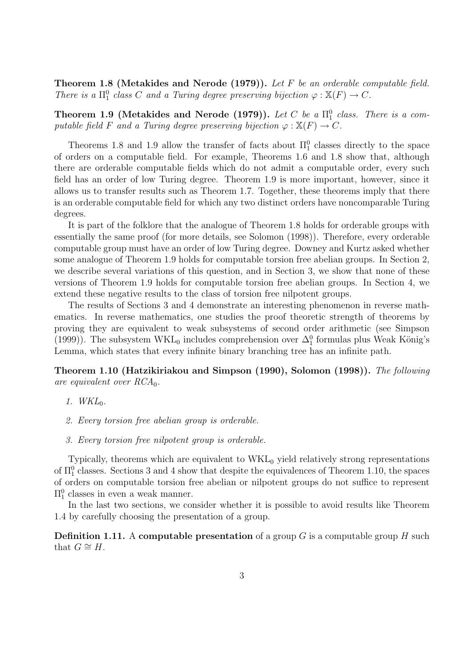Theorem 1.8 (Metakides and Nerode (1979)). Let F be an orderable computable field. There is a  $\Pi_1^0$  class C and a Turing degree preserving bijection  $\varphi : \mathbb{X}(F) \to C$ .

Theorem 1.9 (Metakides and Nerode (1979)). Let C be a  $\Pi^0_1$  class. There is a computable field F and a Turing degree preserving bijection  $\varphi : \mathbb{X}(F) \to C$ .

Theorems 1.8 and 1.9 allow the transfer of facts about  $\Pi_1^0$  classes directly to the space of orders on a computable field. For example, Theorems 1.6 and 1.8 show that, although there are orderable computable fields which do not admit a computable order, every such field has an order of low Turing degree. Theorem 1.9 is more important, however, since it allows us to transfer results such as Theorem 1.7. Together, these theorems imply that there is an orderable computable field for which any two distinct orders have noncomparable Turing degrees.

It is part of the folklore that the analogue of Theorem 1.8 holds for orderable groups with essentially the same proof (for more details, see Solomon (1998)). Therefore, every orderable computable group must have an order of low Turing degree. Downey and Kurtz asked whether some analogue of Theorem 1.9 holds for computable torsion free abelian groups. In Section 2, we describe several variations of this question, and in Section 3, we show that none of these versions of Theorem 1.9 holds for computable torsion free abelian groups. In Section 4, we extend these negative results to the class of torsion free nilpotent groups.

The results of Sections 3 and 4 demonstrate an interesting phenomenon in reverse mathematics. In reverse mathematics, one studies the proof theoretic strength of theorems by proving they are equivalent to weak subsystems of second order arithmetic (see Simpson (1999)). The subsystem WKL<sub>0</sub> includes comprehension over  $\Delta_1^0$  formulas plus Weak König's Lemma, which states that every infinite binary branching tree has an infinite path.

Theorem 1.10 (Hatzikiriakou and Simpson (1990), Solomon (1998)). The following are equivalent over  $RCA_0$ .

- 1.  $WKL_0$ .
- 2. Every torsion free abelian group is orderable.
- 3. Every torsion free nilpotent group is orderable.

Typically, theorems which are equivalent to  $WKL_0$  yield relatively strong representations of  $\Pi_1^0$  classes. Sections 3 and 4 show that despite the equivalences of Theorem 1.10, the spaces of orders on computable torsion free abelian or nilpotent groups do not suffice to represent  $\Pi_1^0$  classes in even a weak manner.

In the last two sections, we consider whether it is possible to avoid results like Theorem 1.4 by carefully choosing the presentation of a group.

**Definition 1.11.** A computable presentation of a group  $G$  is a computable group  $H$  such that  $G \cong H$ .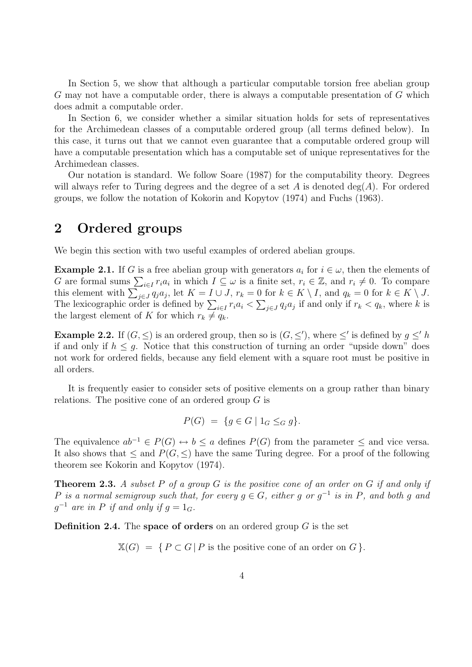In Section 5, we show that although a particular computable torsion free abelian group G may not have a computable order, there is always a computable presentation of G which does admit a computable order.

In Section 6, we consider whether a similar situation holds for sets of representatives for the Archimedean classes of a computable ordered group (all terms defined below). In this case, it turns out that we cannot even guarantee that a computable ordered group will have a computable presentation which has a computable set of unique representatives for the Archimedean classes.

Our notation is standard. We follow Soare (1987) for the computability theory. Degrees will always refer to Turing degrees and the degree of a set A is denoted  $deg(A)$ . For ordered groups, we follow the notation of Kokorin and Kopytov (1974) and Fuchs (1963).

### 2 Ordered groups

We begin this section with two useful examples of ordered abelian groups.

**Example 2.1.** If G is a free abelian group with generators  $a_i$  for  $i \in \omega$ , then the elements of G are formal sums  $\sum_{i\in I} r_i a_i$  in which  $I \subseteq \omega$  is a finite set,  $r_i \in \mathbb{Z}$ , and  $r_i \neq 0$ . To compare this element with  $\sum_{j\in J} q_j a_j$ , let  $K = I \cup J$ ,  $r_k = 0$  for  $k \in K \setminus I$ , and  $q_k = 0$  for  $k \in K \setminus J$ . The lexicographic order is defined by  $\sum_{i\in I} r_i a_i < \sum_{j\in J} q_j a_j$  if and only if  $r_k < q_k$ , where k is the largest element of K for which  $r_k \neq q_k$ .

**Example 2.2.** If  $(G, \leq)$  is an ordered group, then so is  $(G, \leq')$ , where  $\leq'$  is defined by  $g \leq' h$ if and only if  $h \leq g$ . Notice that this construction of turning an order "upside down" does not work for ordered fields, because any field element with a square root must be positive in all orders.

It is frequently easier to consider sets of positive elements on a group rather than binary relations. The positive cone of an ordered group  $G$  is

$$
P(G) = \{ g \in G \mid 1_G \leq_G g \}.
$$

The equivalence  $ab^{-1} \in P(G) \leftrightarrow b \leq a$  defines  $P(G)$  from the parameter  $\leq$  and vice versa. It also shows that  $\leq$  and  $P(G, \leq)$  have the same Turing degree. For a proof of the following theorem see Kokorin and Kopytov (1974).

**Theorem 2.3.** A subset P of a group G is the positive cone of an order on G if and only if P is a normal semigroup such that, for every  $g \in G$ , either g or  $g^{-1}$  is in P, and both g and  $g^{-1}$  are in P if and only if  $g = 1_G$ .

**Definition 2.4.** The space of orders on an ordered group  $G$  is the set

 $\mathbb{X}(G) = \{ P \subset G \mid P \text{ is the positive cone of an order on } G \}.$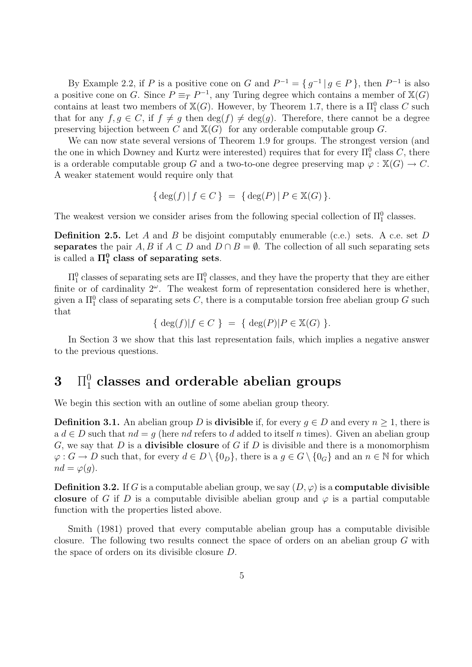By Example 2.2, if P is a positive cone on G and  $P^{-1} = \{ g^{-1} | g \in P \}$ , then  $P^{-1}$  is also a positive cone on G. Since  $P \equiv_T P^{-1}$ , any Turing degree which contains a member of  $\mathbb{X}(G)$ contains at least two members of  $\mathbb{X}(G)$ . However, by Theorem 1.7, there is a  $\Pi_1^0$  class C such that for any  $f, g \in C$ , if  $f \neq g$  then  $\deg(f) \neq \deg(g)$ . Therefore, there cannot be a degree preserving bijection between C and  $\mathbb{X}(G)$  for any orderable computable group G.

We can now state several versions of Theorem 1.9 for groups. The strongest version (and the one in which Downey and Kurtz were interested) requires that for every  $\Pi_1^0$  class C, there is a orderable computable group G and a two-to-one degree preserving map  $\varphi : \mathbb{X}(G) \to C$ . A weaker statement would require only that

$$
\{\deg(f) | f \in C\} = \{\deg(P) | P \in \mathbb{X}(G)\}.
$$

The weakest version we consider arises from the following special collection of  $\Pi_1^0$  classes.

**Definition 2.5.** Let A and B be disjoint computably enumerable (c.e.) sets. A c.e. set D separates the pair A, B if  $A \subset D$  and  $D \cap B = \emptyset$ . The collection of all such separating sets is called a  $\Pi^0_1$  class of separating sets.

 $\Pi_1^0$  classes of separating sets are  $\Pi_1^0$  classes, and they have the property that they are either finite or of cardinality  $2^{\omega}$ . The weakest form of representation considered here is whether, given a  $\Pi_1^0$  class of separating sets C, there is a computable torsion free abelian group G such that

{ deg(f)|f  $\in C$  } = { deg(P)| $P \in \mathbb{X}(G)$  }.

In Section 3 we show that this last representation fails, which implies a negative answer to the previous questions.

# $3$   $\prod_{1}^{0}$  classes and orderable abelian groups

We begin this section with an outline of some abelian group theory.

**Definition 3.1.** An abelian group D is **divisible** if, for every  $q \in D$  and every  $n \geq 1$ , there is a  $d \in D$  such that  $nd = g$  (here nd refers to d added to itself n times). Given an abelian group G, we say that D is a **divisible closure** of G if D is divisible and there is a monomorphism  $\varphi: G \to D$  such that, for every  $d \in D \setminus \{0_D\}$ , there is a  $g \in G \setminus \{0_G\}$  and an  $n \in \mathbb{N}$  for which  $nd = \varphi(q)$ .

**Definition 3.2.** If G is a computable abelian group, we say  $(D, \varphi)$  is a **computable divisible** closure of G if D is a computable divisible abelian group and  $\varphi$  is a partial computable function with the properties listed above.

Smith (1981) proved that every computable abelian group has a computable divisible closure. The following two results connect the space of orders on an abelian group G with the space of orders on its divisible closure D.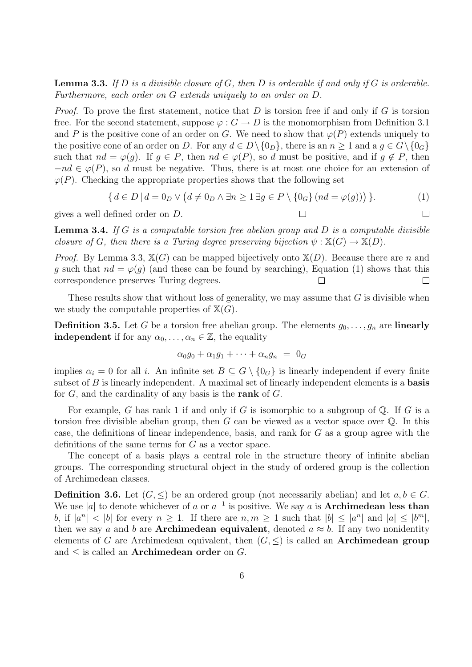**Lemma 3.3.** If D is a divisible closure of G, then D is orderable if and only if G is orderable. Furthermore, each order on G extends uniquely to an order on D.

*Proof.* To prove the first statement, notice that  $D$  is torsion free if and only if  $G$  is torsion free. For the second statement, suppose  $\varphi : G \to D$  is the monomorphism from Definition 3.1 and P is the positive cone of an order on G. We need to show that  $\varphi(P)$  extends uniquely to the positive cone of an order on D. For any  $d \in D \setminus \{0_D\}$ , there is an  $n \geq 1$  and a  $q \in G \setminus \{0_G\}$ such that  $nd = \varphi(g)$ . If  $g \in P$ , then  $nd \in \varphi(P)$ , so d must be positive, and if  $g \notin P$ , then  $-nd \in \varphi(P)$ , so d must be negative. Thus, there is at most one choice for an extension of  $\varphi(P)$ . Checking the appropriate properties shows that the following set

$$
\{ d \in D \mid d = 0_D \lor (d \neq 0_D \land \exists n \ge 1 \exists g \in P \setminus \{0_G\} (nd = \varphi(g))) \}.
$$
 (1)

gives a well defined order on D.

 $\Box$ 

 $\Box$ 

**Lemma 3.4.** If G is a computable torsion free abelian group and D is a computable divisible closure of G, then there is a Turing degree preserving bijection  $\psi : \mathbb{X}(G) \to \mathbb{X}(D)$ .

*Proof.* By Lemma 3.3,  $\mathbb{X}(G)$  can be mapped bijectively onto  $\mathbb{X}(D)$ . Because there are n and g such that  $nd = \varphi(g)$  (and these can be found by searching), Equation (1) shows that this correspondence preserves Turing degrees.  $\Box$ 

These results show that without loss of generality, we may assume that  $G$  is divisible when we study the computable properties of  $\mathbb{X}(G)$ .

**Definition 3.5.** Let G be a torsion free abelian group. The elements  $g_0, \ldots, g_n$  are **linearly independent** if for any  $\alpha_0, \ldots, \alpha_n \in \mathbb{Z}$ , the equality

$$
\alpha_0 g_0 + \alpha_1 g_1 + \cdots + \alpha_n g_n = 0_G
$$

implies  $\alpha_i = 0$  for all i. An infinite set  $B \subseteq G \setminus \{0_G\}$  is linearly independent if every finite subset of  $B$  is linearly independent. A maximal set of linearly independent elements is a **basis** for  $G$ , and the cardinality of any basis is the rank of  $G$ .

For example, G has rank 1 if and only if G is isomorphic to a subgroup of  $\mathbb Q$ . If G is a torsion free divisible abelian group, then  $G$  can be viewed as a vector space over  $\mathbb{O}$ . In this case, the definitions of linear independence, basis, and rank for  $G$  as a group agree with the definitions of the same terms for  $G$  as a vector space.

The concept of a basis plays a central role in the structure theory of infinite abelian groups. The corresponding structural object in the study of ordered group is the collection of Archimedean classes.

**Definition 3.6.** Let  $(G, \leq)$  be an ordered group (not necessarily abelian) and let  $a, b \in G$ . We use |a| to denote whichever of a or  $a^{-1}$  is positive. We say a is **Archimedean less than** b, if  $|a^n| < |b|$  for every  $n \ge 1$ . If there are  $n, m \ge 1$  such that  $|b| \le |a^n|$  and  $|a| \le |b^m|$ , then we say a and b are **Archimedean equivalent**, denoted  $a \approx b$ . If any two nonidentity elements of G are Archimedean equivalent, then  $(G, \leq)$  is called an **Archimedean group** and  $\leq$  is called an **Archimedean order** on G.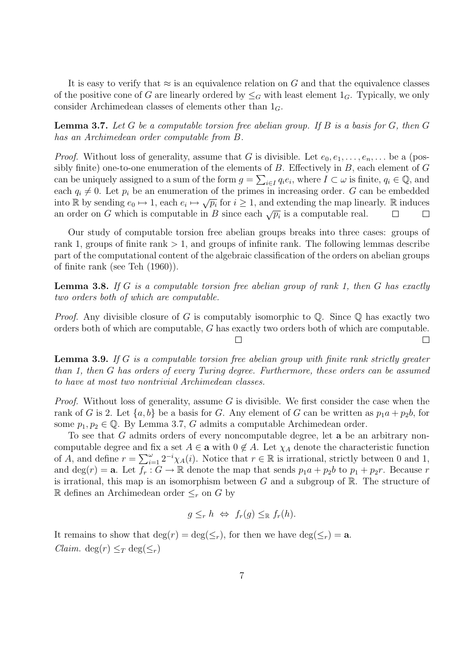It is easy to verify that  $\approx$  is an equivalence relation on G and that the equivalence classes of the positive cone of G are linearly ordered by  $\leq_G$  with least element  $1_G$ . Typically, we only consider Archimedean classes of elements other than  $1_G$ .

**Lemma 3.7.** Let G be a computable torsion free abelian group. If B is a basis for G, then G has an Archimedean order computable from B.

*Proof.* Without loss of generality, assume that G is divisible. Let  $e_0, e_1, \ldots, e_n, \ldots$  be a (possibly finite) one-to-one enumeration of the elements of  $B$ . Effectively in  $B$ , each element of  $G$ can be uniquely assigned to a sum of the form  $g = \sum_{i \in I} q_i e_i$ , where  $I \subset \omega$  is finite,  $q_i \in \mathbb{Q}$ , and each  $q_i \neq 0$ . Let  $p_i$  be an enumeration of the primes in increasing order. G can be embedded into R by sending  $e_0 \mapsto 1$ , each  $e_i \mapsto \sqrt{p_i}$  for  $i \ge 1$ , and extending the map linearly. R induces an order on G which is computable in B since each  $\sqrt{p_i}$  is a computable real.  $\Box$  $\Box$ 

Our study of computable torsion free abelian groups breaks into three cases: groups of rank 1, groups of finite rank  $> 1$ , and groups of infinite rank. The following lemmas describe part of the computational content of the algebraic classification of the orders on abelian groups of finite rank (see Teh (1960)).

**Lemma 3.8.** If G is a computable torsion free abelian group of rank 1, then G has exactly two orders both of which are computable.

*Proof.* Any divisible closure of G is computably isomorphic to  $\mathbb{Q}$ . Since  $\mathbb{Q}$  has exactly two orders both of which are computable, G has exactly two orders both of which are computable.

 $\Box$ 

П

Lemma 3.9. If G is a computable torsion free abelian group with finite rank strictly greater than 1, then G has orders of every Turing degree. Furthermore, these orders can be assumed to have at most two nontrivial Archimedean classes.

*Proof.* Without loss of generality, assume G is divisible. We first consider the case when the rank of G is 2. Let  $\{a, b\}$  be a basis for G. Any element of G can be written as  $p_1a + p_2b$ , for some  $p_1, p_2 \in \mathbb{Q}$ . By Lemma 3.7, G admits a computable Archimedean order.

To see that G admits orders of every noncomputable degree, let a be an arbitrary noncomputable degree and fix a set  $A \in \mathbf{a}$  with  $0 \notin A$ . Let  $\chi_A$  denote the characteristic function of A, and define  $r = \sum_{i=1}^{\omega} 2^{-i} \chi_A(i)$ . Notice that  $r \in \mathbb{R}$  is irrational, strictly between 0 and 1, and deg(r) = **a**. Let  $f_r : G \to \mathbb{R}$  denote the map that sends  $p_1a + p_2b$  to  $p_1 + p_2r$ . Because r is irrational, this map is an isomorphism between  $G$  and a subgroup of  $\mathbb{R}$ . The structure of R defines an Archimedean order ≤<sup>r</sup> on G by

$$
g \leq_r h \Leftrightarrow f_r(g) \leq_{\mathbb{R}} f_r(h).
$$

It remains to show that  $\deg(r) = \deg(\leq_r)$ , for then we have  $\deg(\leq_r) = a$ . *Claim.* deg( $r$ )  $\leq_T$  deg( $\leq_r$ )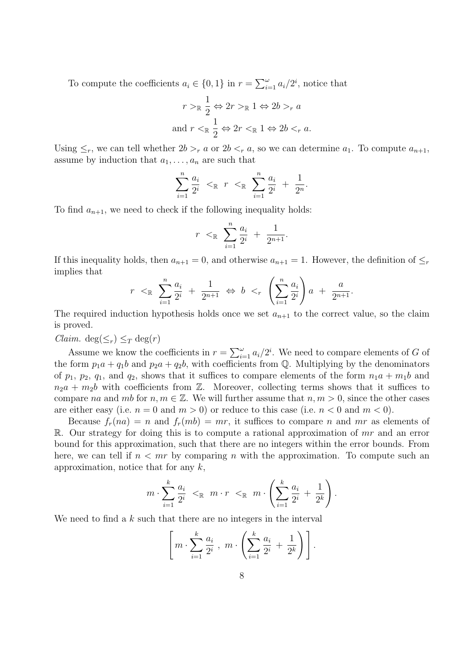To compute the coefficients  $a_i \in \{0, 1\}$  in  $r = \sum_{i=1}^{\omega} a_i/2^i$ , notice that

$$
r >_{\mathbb{R}} \frac{1}{2} \Leftrightarrow 2r >_{\mathbb{R}} 1 \Leftrightarrow 2b >_{r} a
$$
  
and 
$$
r <_{\mathbb{R}} \frac{1}{2} \Leftrightarrow 2r <_{\mathbb{R}} 1 \Leftrightarrow 2b <_{r} a.
$$

Using  $\leq_r$ , we can tell whether  $2b >_r a$  or  $2b <_r a$ , so we can determine  $a_1$ . To compute  $a_{n+1}$ , assume by induction that  $a_1, \ldots, a_n$  are such that

$$
\sum_{i=1}^{n} \frac{a_i}{2^i} <_{\mathbb{R}} r <_{\mathbb{R}} \sum_{i=1}^{n} \frac{a_i}{2^i} + \frac{1}{2^n}.
$$

To find  $a_{n+1}$ , we need to check if the following inequality holds:

$$
r <_{\mathbb{R}} \sum_{i=1}^{n} \frac{a_i}{2^i} + \frac{1}{2^{n+1}}.
$$

If this inequality holds, then  $a_{n+1} = 0$ , and otherwise  $a_{n+1} = 1$ . However, the definition of  $\leq_r$ implies that

$$
r < \mathbb{R} \sum_{i=1}^{n} \frac{a_i}{2^i} + \frac{1}{2^{n+1}} \Leftrightarrow b <_r \left( \sum_{i=1}^{n} \frac{a_i}{2^i} \right) a + \frac{a}{2^{n+1}}.
$$

The required induction hypothesis holds once we set  $a_{n+1}$  to the correct value, so the claim is proved.

*Claim.* deg( $\leq_r$ )  $\leq_T$  deg(*r*)

Assume we know the coefficients in  $r = \sum_{i=1}^{\omega} a_i/2^i$ . We need to compare elements of G of the form  $p_1a + q_1b$  and  $p_2a + q_2b$ , with coefficients from Q. Multiplying by the denominators of  $p_1$ ,  $p_2$ ,  $q_1$ , and  $q_2$ , shows that it suffices to compare elements of the form  $n_1a + m_1b$  and  $n_2a + m_2b$  with coefficients from Z. Moreover, collecting terms shows that it suffices to compare na and mb for  $n, m \in \mathbb{Z}$ . We will further assume that  $n, m > 0$ , since the other cases are either easy (i.e.  $n = 0$  and  $m > 0$ ) or reduce to this case (i.e.  $n < 0$  and  $m < 0$ ).

Because  $f_r(na) = n$  and  $f_r(mb) = mr$ , it suffices to compare n and mr as elements of R. Our strategy for doing this is to compute a rational approximation of  $mr$  and an error bound for this approximation, such that there are no integers within the error bounds. From here, we can tell if  $n < mr$  by comparing n with the approximation. To compute such an approximation, notice that for any  $k$ ,

$$
m \cdot \sum_{i=1}^k \frac{a_i}{2^i} <_{\mathbb{R}} m \cdot r <_{\mathbb{R}} m \cdot \left( \sum_{i=1}^k \frac{a_i}{2^i} + \frac{1}{2^k} \right).
$$

We need to find a  $k$  such that there are no integers in the interval

$$
\left[ m \cdot \sum_{i=1}^k \frac{a_i}{2^i} , m \cdot \left( \sum_{i=1}^k \frac{a_i}{2^i} + \frac{1}{2^k} \right) \right].
$$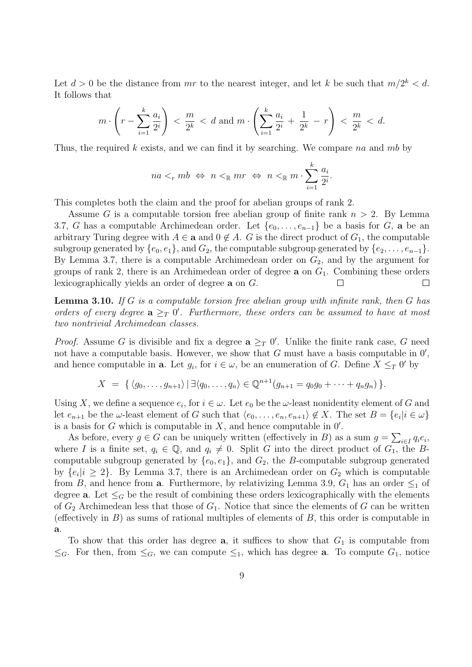Let  $d > 0$  be the distance from mr to the nearest integer, and let k be such that  $m/2^k < d$ . It follows that

$$
m \cdot \left(r - \sum_{i=1}^{k} \frac{a_i}{2^i}\right) < \frac{m}{2^k} < d \text{ and } m \cdot \left(\sum_{i=1}^{k} \frac{a_i}{2^i} + \frac{1}{2^k} - r\right) < \frac{m}{2^k} < d.
$$

Thus, the required k exists, and we can find it by searching. We compare na and mb by

$$
na <_r mb \Leftrightarrow n <_{\mathbb{R}} mr \Leftrightarrow n <_{\mathbb{R}} m \cdot \sum_{i=1}^k \frac{a_i}{2^i}.
$$

This completes both the claim and the proof for abelian groups of rank 2.

Assume G is a computable torsion free abelian group of finite rank  $n > 2$ . By Lemma 3.7, G has a computable Archimedean order. Let  $\{e_0, \ldots, e_{n-1}\}$  be a basis for G, a be an arbitrary Turing degree with  $A \in \mathbf{a}$  and  $0 \notin A$ . G is the direct product of  $G_1$ , the computable subgroup generated by  $\{e_0, e_1\}$ , and  $G_2$ , the computable subgroup generated by  $\{e_2, \ldots, e_{n-1}\}.$ By Lemma 3.7, there is a computable Archimedean order on  $G_2$ , and by the argument for groups of rank 2, there is an Archimedean order of degree  $a$  on  $G_1$ . Combining these orders lexicographically yields an order of degree a on G.  $\Box$  $\Box$ 

**Lemma 3.10.** If G is a computable torsion free abelian group with infinite rank, then G has orders of every degree  $a \geq_T 0'$ . Furthermore, these orders can be assumed to have at most two nontrivial Archimedean classes.

*Proof.* Assume G is divisible and fix a degree  $\mathbf{a} \geq_T 0'$ . Unlike the finite rank case, G need not have a computable basis. However, we show that  $G$  must have a basis computable in  $0'$ , and hence computable in **a**. Let  $g_i$ , for  $i \in \omega$ , be an enumeration of G. Define  $X \leq_T 0'$  by

 $X = \{ \langle g_0, \ldots, g_{n+1} \rangle | \exists \langle q_0, \ldots, q_n \rangle \in \mathbb{Q}^{n+1}(g_{n+1} = q_0 g_0 + \cdots + q_n g_n) \}.$ 

Using X, we define a sequence  $e_i$ , for  $i \in \omega$ . Let  $e_0$  be the  $\omega$ -least nonidentity element of G and let  $e_{n+1}$  be the  $\omega$ -least element of G such that  $\langle e_0, \ldots, e_n, e_{n+1} \rangle \notin X$ . The set  $B = \{e_i | i \in \omega\}$ is a basis for  $G$  which is computable in  $X$ , and hence computable in  $0'$ .

As before, every  $g \in G$  can be uniquely written (effectively in B) as a sum  $g = \sum_{i \in I} q_i e_i$ , where I is a finite set,  $q_i \in \mathbb{Q}$ , and  $q_i \neq 0$ . Split G into the direct product of  $G_1$ , the Bcomputable subgroup generated by  $\{e_0, e_1\}$ , and  $G_2$ , the B-computable subgroup generated by  $\{e_i | i \geq 2\}$ . By Lemma 3.7, there is an Archimedean order on  $G_2$  which is computable from B, and hence from **a**. Furthermore, by relativizing Lemma 3.9,  $G_1$  has an order  $\leq_1$  of degree **a**. Let  $\leq_G$  be the result of combining these orders lexicographically with the elements of  $G_2$  Archimedean less that those of  $G_1$ . Notice that since the elements of G can be written (effectively in  $B$ ) as sums of rational multiples of elements of  $B$ , this order is computable in a.

To show that this order has degree  $a$ , it suffices to show that  $G_1$  is computable from  $\leq_G$ . For then, from  $\leq_G$ , we can compute  $\leq_1$ , which has degree **a**. To compute  $G_1$ , notice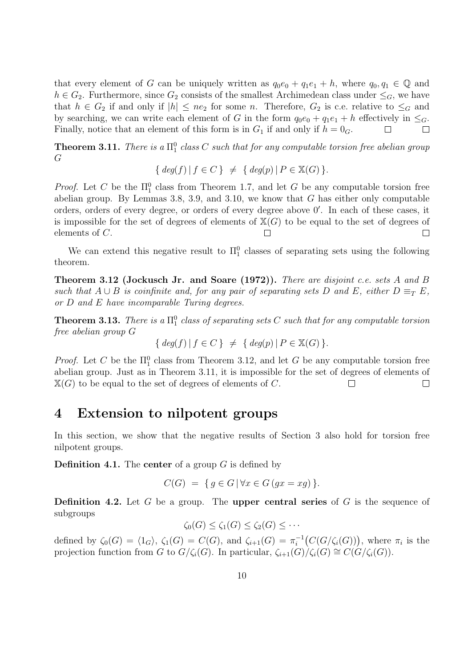that every element of G can be uniquely written as  $q_0e_0 + q_1e_1 + h$ , where  $q_0, q_1 \in \mathbb{Q}$  and  $h \in G_2$ . Furthermore, since  $G_2$  consists of the smallest Archimedean class under  $\leq_G$ , we have that  $h \in G_2$  if and only if  $|h| \leq ne_2$  for some n. Therefore,  $G_2$  is c.e. relative to  $\leq_G$  and by searching, we can write each element of G in the form  $q_0e_0 + q_1e_1 + h$  effectively in  $\leq_G$ . Finally, notice that an element of this form is in  $G_1$  if and only if  $h = 0_G$ .  $\Box$  $\Box$ 

**Theorem 3.11.** There is a  $\Pi_1^0$  class C such that for any computable torsion free abelian group G

$$
\{ \deg(f) \, | \, f \in C \} \neq \{ \deg(p) \, | \, P \in \mathbb{X}(G) \}.
$$

*Proof.* Let C be the  $\Pi_1^0$  class from Theorem 1.7, and let G be any computable torsion free abelian group. By Lemmas 3.8, 3.9, and 3.10, we know that  $G$  has either only computable orders, orders of every degree, or orders of every degree above  $0'$ . In each of these cases, it is impossible for the set of degrees of elements of  $\mathbb{X}(G)$  to be equal to the set of degrees of elements of C.  $\Box$  $\Box$ 

We can extend this negative result to  $\Pi_1^0$  classes of separating sets using the following theorem.

**Theorem 3.12 (Jockusch Jr. and Soare (1972)).** There are disjoint c.e. sets A and B such that  $A \cup B$  is coinfinite and, for any pair of separating sets D and E, either  $D \equiv_T E$ , or D and E have incomparable Turing degrees.

**Theorem 3.13.** There is a  $\Pi_1^0$  class of separating sets C such that for any computable torsion free abelian group G

$$
\{ \deg(f) \, | \, f \in C \} \neq \{ \deg(p) \, | \, P \in \mathbb{X}(G) \}.
$$

*Proof.* Let C be the  $\Pi_1^0$  class from Theorem 3.12, and let G be any computable torsion free abelian group. Just as in Theorem 3.11, it is impossible for the set of degrees of elements of  $\mathbb{X}(G)$  to be equal to the set of degrees of elements of C.  $\Box$  $\Box$ 

### 4 Extension to nilpotent groups

In this section, we show that the negative results of Section 3 also hold for torsion free nilpotent groups.

**Definition 4.1.** The **center** of a group  $G$  is defined by

$$
C(G) = \{ g \in G \, | \, \forall x \in G \, (gx = xg) \}.
$$

**Definition 4.2.** Let G be a group. The **upper central series** of G is the sequence of subgroups

$$
\zeta_0(G) \leq \zeta_1(G) \leq \zeta_2(G) \leq \cdots
$$

defined by  $\zeta_0(G) = \langle 1_G \rangle$ ,  $\zeta_1(G) = C(G)$ , and  $\zeta_{i+1}(G) = \pi_i^{-1}$  $i^{-1}(C(G/\zeta_i(G)))$ , where  $\pi_i$  is the projection function from G to  $G/\zeta_i(G)$ . In particular,  $\zeta_{i+1}(G)/\zeta_i(G) \cong C(G/\zeta_i(G))$ .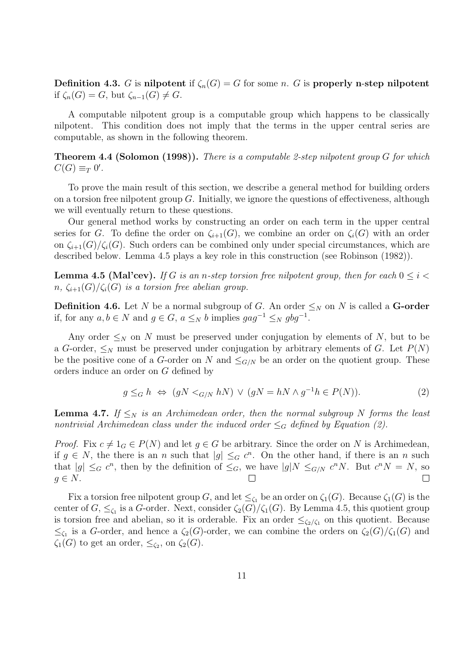Definition 4.3. G is nilpotent if  $\zeta_n(G) = G$  for some n. G is properly n-step nilpotent if  $\zeta_n(G) = G$ , but  $\zeta_{n-1}(G) \neq G$ .

A computable nilpotent group is a computable group which happens to be classically nilpotent. This condition does not imply that the terms in the upper central series are computable, as shown in the following theorem.

**Theorem 4.4 (Solomon (1998)).** There is a computable 2-step nilpotent group G for which  $C(G) \equiv_T 0'.$ 

To prove the main result of this section, we describe a general method for building orders on a torsion free nilpotent group  $G$ . Initially, we ignore the questions of effectiveness, although we will eventually return to these questions.

Our general method works by constructing an order on each term in the upper central series for G. To define the order on  $\zeta_{i+1}(G)$ , we combine an order on  $\zeta_i(G)$  with an order on  $\zeta_{i+1}(G)/\zeta_i(G)$ . Such orders can be combined only under special circumstances, which are described below. Lemma 4.5 plays a key role in this construction (see Robinson (1982)).

**Lemma 4.5 (Mal'cev).** If G is an n-step torsion free nilpotent group, then for each  $0 \leq i <$  $n, \zeta_{i+1}(G)/\zeta_i(G)$  is a torsion free abelian group.

**Definition 4.6.** Let N be a normal subgroup of G. An order  $\leq_N$  on N is called a **G-order** if, for any  $a, b \in N$  and  $g \in G$ ,  $a \leq_N b$  implies  $gag^{-1} \leq_N gbg^{-1}$ .

Any order  $\leq_N$  on N must be preserved under conjugation by elements of N, but to be a G-order,  $\leq_N$  must be preserved under conjugation by arbitrary elements of G. Let  $P(N)$ be the positive cone of a G-order on N and  $\leq_{G/N}$  be an order on the quotient group. These orders induce an order on G defined by

$$
g \leq_G h \iff (gN <_{G/N} hN) \lor (gN = hN \land g^{-1}h \in P(N)).
$$
\n(2)

**Lemma 4.7.** If  $\leq_N$  is an Archimedean order, then the normal subgroup N forms the least nontrivial Archimedean class under the induced order  $\leq_G$  defined by Equation (2).

*Proof.* Fix  $c \neq 1_G \in P(N)$  and let  $g \in G$  be arbitrary. Since the order on N is Archimedean, if  $g \in N$ , the there is an n such that  $|g| \leq_G c^n$ . On the other hand, if there is an n such that  $|g| \leq_G c^n$ , then by the definition of  $\leq_G$ , we have  $|g|N \leq_{G/N} c^n N$ . But  $c^n N = N$ , so  $g \in N$ .  $\Box$ 

Fix a torsion free nilpotent group G, and let  $\leq_{\zeta_1}$  be an order on  $\zeta_1(G)$ . Because  $\zeta_1(G)$  is the center of  $G, \leq_{\zeta_1}$  is a G-order. Next, consider  $\zeta_2(G)/\zeta_1(G)$ . By Lemma 4.5, this quotient group is torsion free and abelian, so it is orderable. Fix an order  $\leq_{\zeta_2/\zeta_1}$  on this quotient. Because  $\leq_{\zeta_1}$  is a G-order, and hence a  $\zeta_2(G)$ -order, we can combine the orders on  $\zeta_2(G)/\zeta_1(G)$  and  $\zeta_1(G)$  to get an order,  $\leq_{\zeta_2}$ , on  $\zeta_2(G)$ .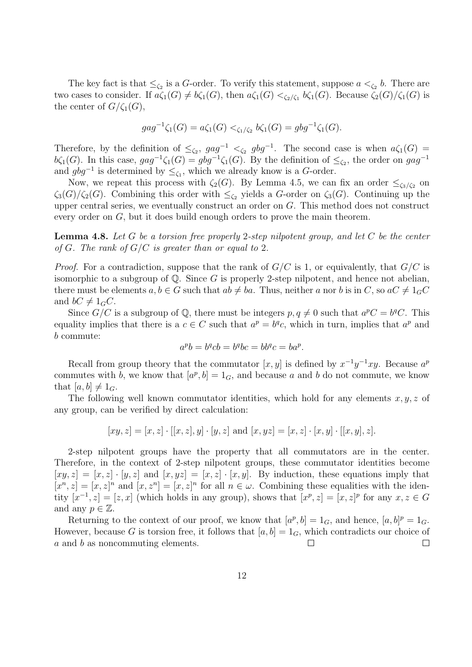The key fact is that  $\leq_{\zeta_2}$  is a G-order. To verify this statement, suppose  $a <_{\zeta_2} b$ . There are two cases to consider. If  $a\zeta_1(G) \neq b\zeta_1(G)$ , then  $a\zeta_1(G) <_{\zeta_2/\zeta_1} b\zeta_1(G)$ . Because  $\zeta_2(G)/\zeta_1(G)$  is the center of  $G/\zeta_1(G)$ ,

$$
gag^{-1}\zeta_1(G) = a\zeta_1(G) <_{\zeta_1/\zeta_2} b\zeta_1(G) = gbg^{-1}\zeta_1(G).
$$

Therefore, by the definition of  $\leq_{\zeta_2}$ ,  $gag^{-1} <_{\zeta_2} gbg^{-1}$ . The second case is when  $a\zeta_1(G)$  = b $\zeta_1(G)$ . In this case,  $gag^{-1}\zeta_1(G) = gbg^{-1}\zeta_1(G)$ . By the definition of  $\leq_{\zeta_2}$ , the order on  $gag^{-1}$ and  $gbg^{-1}$  is determined by  $\leq_{\zeta_1}$ , which we already know is a G-order.

Now, we repeat this process with  $\zeta_2(G)$ . By Lemma 4.5, we can fix an order  $\leq_{\zeta_3/\zeta_2}$  on  $\zeta_3(G)/\zeta_2(G)$ . Combining this order with  $\leq_{\zeta_2}$  yields a G-order on  $\zeta_3(G)$ . Continuing up the upper central series, we eventually construct an order on  $G$ . This method does not construct every order on G, but it does build enough orders to prove the main theorem.

**Lemma 4.8.** Let G be a torsion free properly 2-step nilpotent group, and let C be the center of G. The rank of  $G/C$  is greater than or equal to 2.

*Proof.* For a contradiction, suppose that the rank of  $G/C$  is 1, or equivalently, that  $G/C$  is isomorphic to a subgroup of  $\mathbb Q$ . Since G is properly 2-step nilpotent, and hence not abelian, there must be elements  $a, b \in G$  such that  $ab \neq ba$ . Thus, neither a nor b is in C, so  $aC \neq 1_GC$ and  $bC \neq 1_GC$ .

Since  $G/C$  is a subgroup of Q, there must be integers  $p, q \neq 0$  such that  $a^pC = b^qC$ . This equality implies that there is a  $c \in C$  such that  $a^p = b^q c$ , which in turn, implies that  $a^p$  and b commute:

$$
a^p b = b^q c b = b^q b c = b b^q c = b a^p.
$$

Recall from group theory that the commutator  $[x, y]$  is defined by  $x^{-1}y^{-1}xy$ . Because  $a^p$ commutes with b, we know that  $[a^p, b] = 1_G$ , and because a and b do not commute, we know that  $[a, b] \neq 1_G$ .

The following well known commutator identities, which hold for any elements  $x, y, z$  of any group, can be verified by direct calculation:

$$
[xy, z] = [x, z] \cdot [[x, z], y] \cdot [y, z]
$$
 and  $[x, yz] = [x, z] \cdot [x, y] \cdot [[x, y], z]$ .

2-step nilpotent groups have the property that all commutators are in the center. Therefore, in the context of 2-step nilpotent groups, these commutator identities become  $[xy, z] = [x, z] \cdot [y, z]$  and  $[x, yz] = [x, z] \cdot [x, y]$ . By induction, these equations imply that  $[x^n, z] = [x, z]^n$  and  $[x, z^n] = [x, z]^n$  for all  $n \in \omega$ . Combining these equalities with the identity  $[x^{-1}, z] = [z, x]$  (which holds in any group), shows that  $[x^p, z] = [x, z]^p$  for any  $x, z \in G$ and any  $p \in \mathbb{Z}$ .

Returning to the context of our proof, we know that  $[a^p, b] = 1_G$ , and hence,  $[a, b]^p = 1_G$ . However, because G is torsion free, it follows that  $[a, b] = 1_G$ , which contradicts our choice of a and b as noncommuting elements.  $\Box$  $\Box$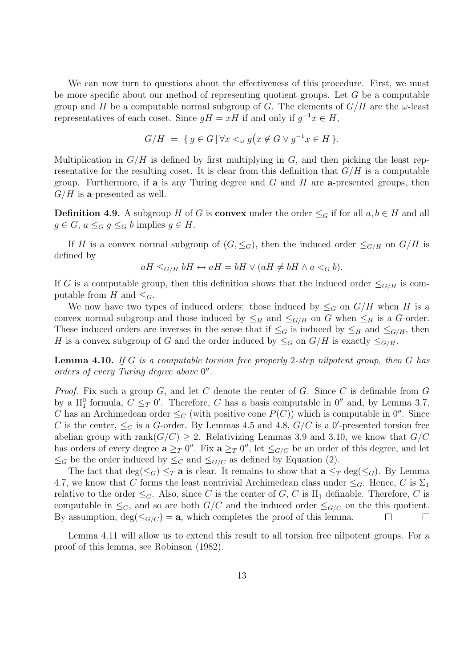We can now turn to questions about the effectiveness of this procedure. First, we must be more specific about our method of representing quotient groups. Let G be a computable group and H be a computable normal subgroup of G. The elements of  $G/H$  are the  $\omega$ -least representatives of each coset. Since  $gH = xH$  if and only if  $g^{-1}x \in H$ ,

$$
G/H = \{ g \in G \, | \, \forall x <_{\omega} g \big( x \not\in G \vee g^{-1}x \in H \, \}.
$$

Multiplication in  $G/H$  is defined by first multiplying in G, and then picking the least representative for the resulting coset. It is clear from this definition that  $G/H$  is a computable group. Furthermore, if **a** is any Turing degree and  $G$  and  $H$  are **a**-presented groups, then  $G/H$  is a-presented as well.

**Definition 4.9.** A subgroup H of G is **convex** under the order  $\leq_G$  if for all  $a, b \in H$  and all  $g \in G$ ,  $a \leq_G g \leq_G b$  implies  $g \in H$ .

If H is a convex normal subgroup of  $(G, \leq_G)$ , then the induced order  $\leq_{G/H}$  on  $G/H$  is defined by

$$
aH \leq_{G/H} bH \leftrightarrow aH = bH \lor (aH \neq bH \land a <_G b).
$$

If G is a computable group, then this definition shows that the induced order  $\leq_{G/H}$  is computable from H and  $\leq_G$ .

We now have two types of induced orders: those induced by  $\leq_G$  on  $G/H$  when H is a convex normal subgroup and those induced by  $\leq_H$  and  $\leq_{G/H}$  on G when  $\leq_H$  is a G-order. These induced orders are inverses in the sense that if  $\leq_G$  is induced by  $\leq_H$  and  $\leq_{G/H}$ , then H is a convex subgroup of G and the order induced by  $\leq_G$  on  $G/H$  is exactly  $\leq_{G/H}$ .

**Lemma 4.10.** If G is a computable torsion free properly 2-step nilpotent group, then G has orders of every Turing degree above 0".

*Proof.* Fix such a group G, and let C denote the center of G. Since C is definable from G by a  $\Pi_1^0$  formula,  $C \leq_T 0'$ . Therefore, C has a basis computable in  $0''$  and, by Lemma 3.7, C has an Archimedean order  $\leq_C$  (with positive cone  $P(C)$ ) which is computable in 0<sup>n</sup>. Since C is the center,  $\leq_C$  is a G-order. By Lemmas 4.5 and 4.8,  $G/C$  is a 0'-presented torsion free abelian group with rank $(G/C) \geq 2$ . Relativizing Lemmas 3.9 and 3.10, we know that  $G/C$ has orders of every degree  $\mathbf{a} \geq_T 0''$ . Fix  $\mathbf{a} \geq_T 0''$ , let  $\leq_{G/C}$  be an order of this degree, and let  $\leq_G$  be the order induced by  $\leq_G$  and  $\leq_{G/C}$  as defined by Equation (2).

The fact that  $\deg(\leq_G) \leq_T \mathbf{a}$  is clear. It remains to show that  $\mathbf{a} \leq_T \deg(\leq_G)$ . By Lemma 4.7, we know that C forms the least nontrivial Archimedean class under  $\leq_G$ . Hence, C is  $\Sigma_1$ relative to the order  $\leq_G$ . Also, since C is the center of G, C is  $\Pi_1$  definable. Therefore, C is computable in  $\leq_G$ , and so are both  $G/C$  and the induced order  $\leq_{G/C}$  on the this quotient. By assumption,  $deg(\leq_{G/C}) = \mathbf{a}$ , which completes the proof of this lemma.  $\Box$  $\Box$ 

Lemma 4.11 will allow us to extend this result to all torsion free nilpotent groups. For a proof of this lemma, see Robinson (1982).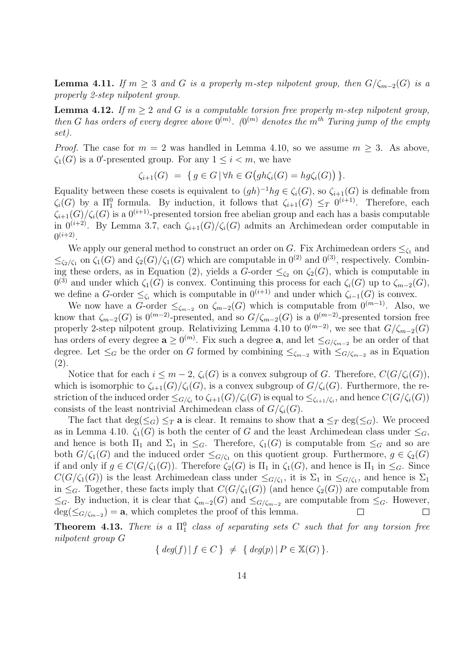**Lemma 4.11.** If  $m > 3$  and G is a properly m-step nilpotent group, then  $G/\zeta_{m-2}(G)$  is a properly 2-step nilpotent group.

**Lemma 4.12.** If  $m \geq 2$  and G is a computable torsion free properly m-step nilpotent group, then G has orders of every degree above  $0^{(m)}$ .  $(0^{(m)}$  denotes the  $m^{th}$  Turing jump of the empty set).

*Proof.* The case for  $m = 2$  was handled in Lemma 4.10, so we assume  $m \geq 3$ . As above,  $\zeta_1(G)$  is a 0'-presented group. For any  $1 \leq i < m$ , we have

$$
\zeta_{i+1}(G) = \{ g \in G \, | \, \forall h \in G \big( gh \zeta_i(G) = hg \zeta_i(G) \big) \}.
$$

Equality between these cosets is equivalent to  $(gh)^{-1}hg \in \zeta_i(G)$ , so  $\zeta_{i+1}(G)$  is definable from  $\zeta_i(G)$  by a  $\Pi_1^0$  formula. By induction, it follows that  $\zeta_{i+1}(G) \leq_T 0^{(i+1)}$ . Therefore, each  $\zeta_{i+1}(G)/\zeta_i(G)$  is a  $0^{(i+1)}$ -presented torsion free abelian group and each has a basis computable in  $0^{(i+2)}$ . By Lemma 3.7, each  $\zeta_{i+1}(G)/\zeta_i(G)$  admits an Archimedean order computable in  $0^{(i+2)}$ .

We apply our general method to construct an order on G. Fix Archimedean orders  $\leq_{\zeta_1}$  and  $\leq_{\zeta_2/\zeta_1}$  on  $\zeta_1(G)$  and  $\zeta_2(G)/\zeta_1(G)$  which are computable in  $0^{(2)}$  and  $0^{(3)}$ , respectively. Combining these orders, as in Equation (2), yields a G-order  $\leq_{\zeta_2}$  on  $\zeta_2(G)$ , which is computable in  $0^{(3)}$  and under which  $\zeta_1(G)$  is convex. Continuing this process for each  $\zeta_i(G)$  up to  $\zeta_{m-2}(G)$ , we define a G-order  $\leq_{\zeta_i}$  which is computable in  $0^{(i+1)}$  and under which  $\zeta_{i-1}(G)$  is convex.

We now have a G-order  $\leq_{\zeta_{m-2}}$  on  $\zeta_{m-2}(G)$  which is computable from  $0^{(m-1)}$ . Also, we know that  $\zeta_{m-2}(G)$  is  $0^{(m-2)}$ -presented, and so  $G/\zeta_{m-2}(G)$  is a  $0^{(m-2)}$ -presented torsion free properly 2-step nilpotent group. Relativizing Lemma 4.10 to  $0^{(m-2)}$ , we see that  $G/\zeta_{m-2}(G)$ has orders of every degree  $\mathbf{a} \geq 0^{(m)}$ . Fix such a degree  $\mathbf{a}$ , and let  $\leq_{G/\zeta_{m-2}}$  be an order of that degree. Let  $\leq_G$  be the order on G formed by combining  $\leq_{\zeta_{m-2}}$  with  $\leq_{G/\zeta_{m-2}}$  as in Equation (2).

Notice that for each  $i \leq m-2$ ,  $\zeta_i(G)$  is a convex subgroup of G. Therefore,  $C(G/\zeta_i(G))$ , which is isomorphic to  $\zeta_{i+1}(G)/\zeta_i(G)$ , is a convex subgroup of  $G/\zeta_i(G)$ . Furthermore, the restriction of the induced order  $\leq_{G/\zeta_i}$  to  $\zeta_{i+1}(G)/\zeta_i(G)$  is equal to  $\leq_{\zeta_{i+1}/\zeta_i}$ , and hence  $C(G/\zeta_i(G))$ consists of the least nontrivial Archimedean class of  $G/\zeta_i(G)$ .

The fact that  $\deg(\leq_G) \leq_T \mathbf{a}$  is clear. It remains to show that  $\mathbf{a} \leq_T \deg(\leq_G)$ . We proceed as in Lemma 4.10.  $\zeta_1(G)$  is both the center of G and the least Archimedean class under  $\leq_G$ , and hence is both  $\Pi_1$  and  $\Sigma_1$  in  $\leq_G$ . Therefore,  $\zeta_1(G)$  is computable from  $\leq_G$  and so are both  $G/\zeta_1(G)$  and the induced order  $\leq_{G/\zeta_1}$  on this quotient group. Furthermore,  $g \in \zeta_2(G)$ if and only if  $g \in C(G/\zeta_1(G))$ . Therefore  $\zeta_2(G)$  is  $\Pi_1$  in  $\zeta_1(G)$ , and hence is  $\Pi_1$  in  $\leq_G$ . Since  $C(G/\zeta_1(G))$  is the least Archimedean class under  $\leq_{G/\zeta_1}$ , it is  $\Sigma_1$  in  $\leq_{G/\zeta_1}$ , and hence is  $\Sigma_1$ in  $\leq_G$ . Together, these facts imply that  $C(G/\zeta_1(G))$  (and hence  $\zeta_2(G)$ ) are computable from  $\leq_G$ . By induction, it is clear that  $\zeta_{m-2}(G)$  and  $\leq_{G/\zeta_{m-2}}$  are computable from  $\leq_G$ . However,  $deg(\leq_{G/\zeta_{m-2}}) = \mathbf{a}$ , which completes the proof of this lemma.  $\Box$  $\Box$ 

**Theorem 4.13.** There is a  $\Pi_1^0$  class of separating sets C such that for any torsion free nilpotent group G

$$
\{ \deg(f) \, | \, f \in C \} \neq \{ \deg(p) \, | \, P \in \mathbb{X}(G) \}.
$$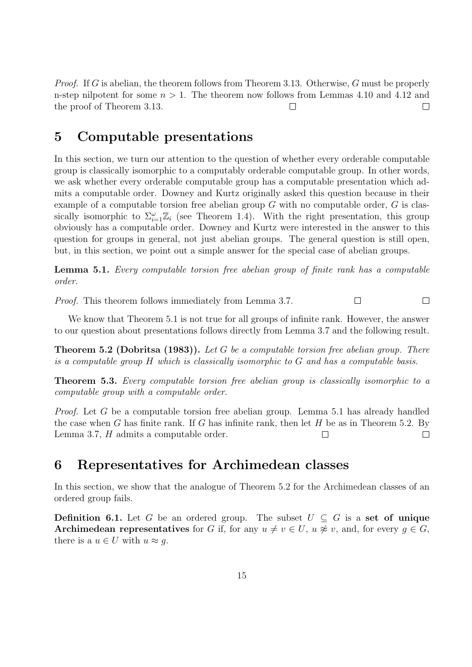*Proof.* If G is abelian, the theorem follows from Theorem 3.13. Otherwise, G must be properly n-step nilpotent for some  $n > 1$ . The theorem now follows from Lemmas 4.10 and 4.12 and the proof of Theorem 3.13.  $\Box$  $\Box$ 

# 5 Computable presentations

In this section, we turn our attention to the question of whether every orderable computable group is classically isomorphic to a computably orderable computable group. In other words, we ask whether every orderable computable group has a computable presentation which admits a computable order. Downey and Kurtz originally asked this question because in their example of a computable torsion free abelian group G with no computable order, G is classically isomorphic to  $\Sigma_{i=1}^{\omega} \mathbb{Z}_i$  (see Theorem 1.4). With the right presentation, this group obviously has a computable order. Downey and Kurtz were interested in the answer to this question for groups in general, not just abelian groups. The general question is still open, but, in this section, we point out a simple answer for the special case of abelian groups.

Lemma 5.1. Every computable torsion free abelian group of finite rank has a computable order.

Proof. This theorem follows immediately from Lemma 3.7.  $\Box$  $\Box$ 

We know that Theorem 5.1 is not true for all groups of infinite rank. However, the answer to our question about presentations follows directly from Lemma 3.7 and the following result.

**Theorem 5.2 (Dobritsa (1983)).** Let  $G$  be a computable torsion free abelian group. There is a computable group H which is classically isomorphic to G and has a computable basis.

Theorem 5.3. Every computable torsion free abelian group is classically isomorphic to a computable group with a computable order.

Proof. Let G be a computable torsion free abelian group. Lemma 5.1 has already handled the case when G has finite rank. If G has infinite rank, then let H be as in Theorem 5.2. By Lemma 3.7, H admits a computable order.  $\Box$  $\Box$ 

# 6 Representatives for Archimedean classes

In this section, we show that the analogue of Theorem 5.2 for the Archimedean classes of an ordered group fails.

**Definition 6.1.** Let G be an ordered group. The subset  $U \subseteq G$  is a set of unique Archimedean representatives for G if, for any  $u \neq v \in U$ ,  $u \not\approx v$ , and, for every  $g \in G$ , there is a  $u \in U$  with  $u \approx g$ .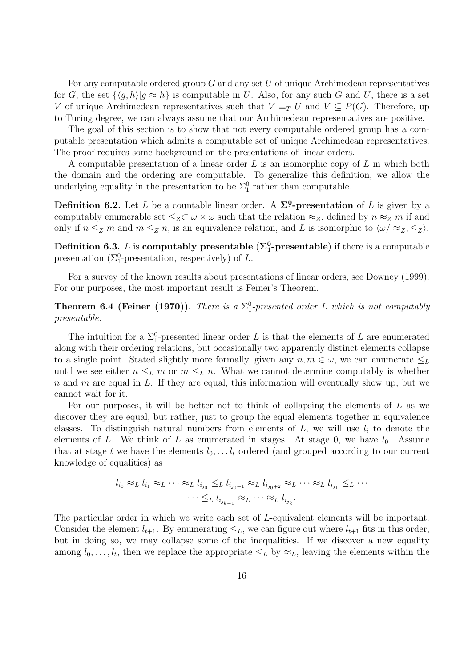For any computable ordered group  $G$  and any set  $U$  of unique Archimedean representatives for G, the set  $\{\langle g, h \rangle | g \approx h\}$  is computable in U. Also, for any such G and U, there is a set V of unique Archimedean representatives such that  $V \equiv_T U$  and  $V \subseteq P(G)$ . Therefore, up to Turing degree, we can always assume that our Archimedean representatives are positive.

The goal of this section is to show that not every computable ordered group has a computable presentation which admits a computable set of unique Archimedean representatives. The proof requires some background on the presentations of linear orders.

A computable presentation of a linear order  $L$  is an isomorphic copy of  $L$  in which both the domain and the ordering are computable. To generalize this definition, we allow the underlying equality in the presentation to be  $\Sigma_1^0$  rather than computable.

**Definition 6.2.** Let L be a countable linear order. A  $\Sigma_1^0$ -presentation of L is given by a computably enumerable set  $\leq_Z \subset \omega \times \omega$  such that the relation  $\approx_Z$ , defined by  $n \approx_Z m$  if and only if  $n \leq_Z m$  and  $m \leq_Z n$ , is an equivalence relation, and L is isomorphic to  $\langle \omega / \approx_Z , \leq_Z \rangle$ .

**Definition 6.3.** L is **computably presentable** ( $\Sigma^0_1$ -presentable) if there is a computable presentation ( $\Sigma_1^0$ -presentation, respectively) of L.

For a survey of the known results about presentations of linear orders, see Downey (1999). For our purposes, the most important result is Feiner's Theorem.

**Theorem 6.4 (Feiner (1970)).** There is a  $\Sigma_1^0$ -presented order L which is not computably presentable.

The intuition for a  $\Sigma_1^0$ -presented linear order L is that the elements of L are enumerated along with their ordering relations, but occasionally two apparently distinct elements collapse to a single point. Stated slightly more formally, given any  $n, m \in \omega$ , we can enumerate  $\leq_L$ until we see either  $n \leq_L m$  or  $m \leq_L n$ . What we cannot determine computably is whether n and m are equal in  $L$ . If they are equal, this information will eventually show up, but we cannot wait for it.

For our purposes, it will be better not to think of collapsing the elements of  $L$  as we discover they are equal, but rather, just to group the equal elements together in equivalence classes. To distinguish natural numbers from elements of  $L$ , we will use  $l_i$  to denote the elements of L. We think of L as enumerated in stages. At stage 0, we have  $l_0$ . Assume that at stage t we have the elements  $l_0, \ldots l_t$  ordered (and grouped according to our current knowledge of equalities) as

$$
l_{i_0} \approx_L l_{i_1} \approx_L \cdots \approx_L l_{i_{j_0}} \leq_L l_{i_{j_0+1}} \approx_L l_{i_{j_0+2}} \approx_L \cdots \approx_L l_{i_{j_1}} \leq_L \cdots
$$

$$
\cdots \leq_L l_{i_{j_{k-1}}} \approx_L \cdots \approx_L l_{i_{j_k}}.
$$

The particular order in which we write each set of L-equivalent elements will be important. Consider the element  $l_{t+1}$ . By enumerating  $\leq_L$ , we can figure out where  $l_{t+1}$  fits in this order, but in doing so, we may collapse some of the inequalities. If we discover a new equality among  $l_0, \ldots, l_t$ , then we replace the appropriate  $\leq_L$  by  $\approx_L$ , leaving the elements within the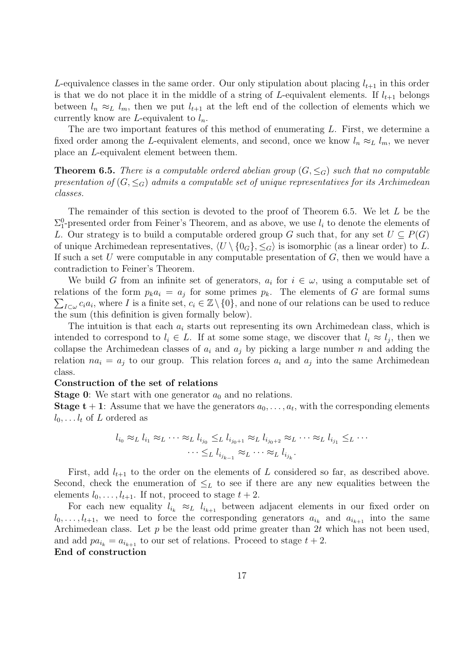L-equivalence classes in the same order. Our only stipulation about placing  $l_{t+1}$  in this order is that we do not place it in the middle of a string of L-equivalent elements. If  $l_{t+1}$  belongs between  $l_n \approx_L l_m$ , then we put  $l_{t+1}$  at the left end of the collection of elements which we currently know are L-equivalent to  $l_n$ .

The are two important features of this method of enumerating L. First, we determine a fixed order among the L-equivalent elements, and second, once we know  $l_n \approx_L l_m$ , we never place an L-equivalent element between them.

**Theorem 6.5.** There is a computable ordered abelian group  $(G, \leq_G)$  such that no computable presentation of  $(G, \leq_G)$  admits a computable set of unique representatives for its Archimedean classes.

The remainder of this section is devoted to the proof of Theorem 6.5. We let L be the  $\Sigma_1^0$ -presented order from Feiner's Theorem, and as above, we use  $l_i$  to denote the elements of L. Our strategy is to build a computable ordered group G such that, for any set  $U \subseteq P(G)$ of unique Archimedean representatives,  $\langle U \setminus \{0_G\}, \leq_G \rangle$  is isomorphic (as a linear order) to L. If such a set U were computable in any computable presentation of  $G$ , then we would have a contradiction to Feiner's Theorem.

We build G from an infinite set of generators,  $a_i$  for  $i \in \omega$ , using a computable set of relations of the form  $p_k a_i = a_j$  for some primes  $p_k$ . The elements of G are formal sums  $\sum_{I\subset\omega}c_i a_i$ , where I is a finite set,  $c_i\in\mathbb{Z}\setminus\{0\}$ , and none of our relations can be used to reduce the sum (this definition is given formally below).

The intuition is that each  $a_i$  starts out representing its own Archimedean class, which is intended to correspond to  $l_i \in L$ . If at some some stage, we discover that  $l_i \approx l_j$ , then we collapse the Archimedean classes of  $a_i$  and  $a_j$  by picking a large number n and adding the relation  $na_i = a_j$  to our group. This relation forces  $a_i$  and  $a_j$  into the same Archimedean class.

#### Construction of the set of relations

**Stage 0:** We start with one generator  $a_0$  and no relations.

**Stage t** + 1: Assume that we have the generators  $a_0, \ldots, a_t$ , with the corresponding elements  $l_0, \ldots l_t$  of L ordered as

$$
l_{i_0} \approx_L l_{i_1} \approx_L \cdots \approx_L l_{i_{j_0}} \leq_L l_{i_{j_0+1}} \approx_L l_{i_{j_0+2}} \approx_L \cdots \approx_L l_{i_{j_1}} \leq_L \cdots
$$

$$
\cdots \leq_L l_{i_{j_{k-1}}} \approx_L \cdots \approx_L l_{i_{j_k}}.
$$

First, add  $l_{t+1}$  to the order on the elements of L considered so far, as described above. Second, check the enumeration of  $\leq_L$  to see if there are any new equalities between the elements  $l_0, \ldots, l_{t+1}$ . If not, proceed to stage  $t + 2$ .

For each new equality  $l_{i_k} \approx_L l_{i_{k+1}}$  between adjacent elements in our fixed order on  $l_0, \ldots, l_{t+1}$ , we need to force the corresponding generators  $a_{i_k}$  and  $a_{i_{k+1}}$  into the same Archimedean class. Let  $p$  be the least odd prime greater than  $2t$  which has not been used, and add  $pa_{i_k} = a_{i_{k+1}}$  to our set of relations. Proceed to stage  $t + 2$ . End of construction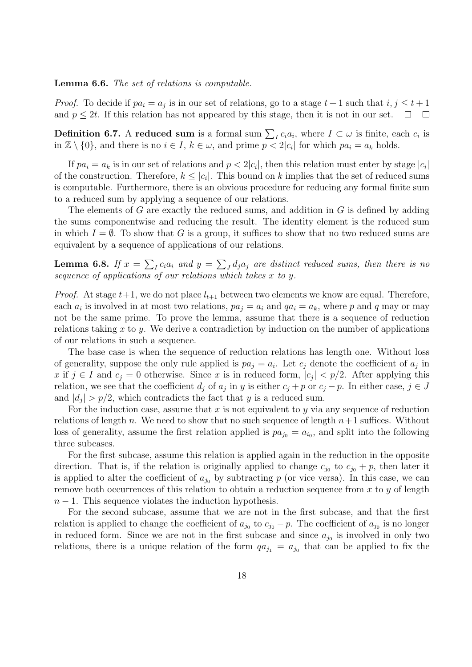Lemma 6.6. The set of relations is computable.

*Proof.* To decide if  $pa_i = a_j$  is in our set of relations, go to a stage  $t + 1$  such that  $i, j \leq t + 1$ and  $p \leq 2t$ . If this relation has not appeared by this stage, then it is not in our set.  $\Box$  $\sim 10$ 

**Definition 6.7.** A reduced sum is a formal sum  $\sum_{I} c_i a_i$ , where  $I \subset \omega$  is finite, each  $c_i$  is in  $\mathbb{Z} \setminus \{0\}$ , and there is no  $i \in I$ ,  $k \in \omega$ , and prime  $p < 2|c_i|$  for which  $pa_i = a_k$  holds.

If  $pa_i = a_k$  is in our set of relations and  $p < 2|c_i|$ , then this relation must enter by stage  $|c_i|$ of the construction. Therefore,  $k \leq |c_i|$ . This bound on k implies that the set of reduced sums is computable. Furthermore, there is an obvious procedure for reducing any formal finite sum to a reduced sum by applying a sequence of our relations.

The elements of G are exactly the reduced sums, and addition in G is defined by adding the sums componentwise and reducing the result. The identity element is the reduced sum in which  $I = \emptyset$ . To show that G is a group, it suffices to show that no two reduced sums are equivalent by a sequence of applications of our relations.

**Lemma 6.8.** If  $x = \sum_{I} c_i a_i$  and  $y = \sum_{J} d_j a_j$  are distinct reduced sums, then there is no sequence of applications of our relations which takes x to y.

*Proof.* At stage  $t+1$ , we do not place  $l_{t+1}$  between two elements we know are equal. Therefore, each  $a_i$  is involved in at most two relations,  $pa_j = a_i$  and  $qa_i = a_k$ , where p and q may or may not be the same prime. To prove the lemma, assume that there is a sequence of reduction relations taking  $x$  to  $y$ . We derive a contradiction by induction on the number of applications of our relations in such a sequence.

The base case is when the sequence of reduction relations has length one. Without loss of generality, suppose the only rule applied is  $pa_j = a_i$ . Let  $c_j$  denote the coefficient of  $a_j$  in x if  $j \in I$  and  $c_j = 0$  otherwise. Since x is in reduced form,  $|c_j| < p/2$ . After applying this relation, we see that the coefficient  $d_j$  of  $a_j$  in y is either  $c_j + p$  or  $c_j - p$ . In either case,  $j \in J$ and  $|d_j| > p/2$ , which contradicts the fact that y is a reduced sum.

For the induction case, assume that x is not equivalent to y via any sequence of reduction relations of length n. We need to show that no such sequence of length  $n+1$  suffices. Without loss of generality, assume the first relation applied is  $pa_{j_0} = a_{i_0}$ , and split into the following three subcases.

For the first subcase, assume this relation is applied again in the reduction in the opposite direction. That is, if the relation is originally applied to change  $c_{j_0}$  to  $c_{j_0} + p$ , then later it is applied to alter the coefficient of  $a_{j_0}$  by subtracting p (or vice versa). In this case, we can remove both occurrences of this relation to obtain a reduction sequence from  $x$  to  $y$  of length  $n-1$ . This sequence violates the induction hypothesis.

For the second subcase, assume that we are not in the first subcase, and that the first relation is applied to change the coefficient of  $a_{j_0}$  to  $c_{j_0} - p$ . The coefficient of  $a_{j_0}$  is no longer in reduced form. Since we are not in the first subcase and since  $a_{j_0}$  is involved in only two relations, there is a unique relation of the form  $qa_{j_1} = a_{j_0}$  that can be applied to fix the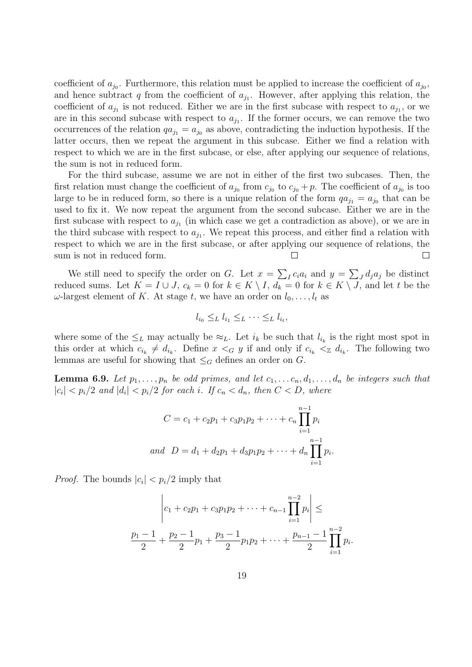coefficient of  $a_{j_0}$ . Furthermore, this relation must be applied to increase the coefficient of  $a_{j_0}$ , and hence subtract q from the coefficient of  $a_{j_1}$ . However, after applying this relation, the coefficient of  $a_{j_1}$  is not reduced. Either we are in the first subcase with respect to  $a_{j_1}$ , or we are in this second subcase with respect to  $a_{j_1}$ . If the former occurs, we can remove the two occurrences of the relation  $qa_{j1} = a_{j0}$  as above, contradicting the induction hypothesis. If the latter occurs, then we repeat the argument in this subcase. Either we find a relation with respect to which we are in the first subcase, or else, after applying our sequence of relations, the sum is not in reduced form.

For the third subcase, assume we are not in either of the first two subcases. Then, the first relation must change the coefficient of  $a_{j_0}$  from  $c_{j_0}$  to  $c_{j_0} + p$ . The coefficient of  $a_{j_0}$  is too large to be in reduced form, so there is a unique relation of the form  $qa_{j_1} = a_{j_0}$  that can be used to fix it. We now repeat the argument from the second subcase. Either we are in the first subcase with respect to  $a_{j_1}$  (in which case we get a contradiction as above), or we are in the third subcase with respect to  $a_{j_1}$ . We repeat this process, and either find a relation with respect to which we are in the first subcase, or after applying our sequence of relations, the sum is not in reduced form.  $\Box$  $\Box$ 

We still need to specify the order on G. Let  $x = \sum_{I} c_i a_i$  and  $y = \sum_{I} d_j a_j$  be distinct reduced sums. Let  $K = I \cup J$ ,  $c_k = 0$  for  $k \in K \setminus I$ ,  $d_k = 0$  for  $k \in K \setminus J$ , and let t be the  $\omega$ -largest element of K. At stage t, we have an order on  $l_0, \ldots, l_t$  as

$$
l_{i_0} \leq_L l_{i_1} \leq_L \cdots \leq_L l_{i_t},
$$

where some of the  $\leq_L$  may actually be  $\approx_L$ . Let  $i_k$  be such that  $l_{i_k}$  is the right most spot in this order at which  $c_{i_k} \neq d_{i_k}$ . Define  $x <_G y$  if and only if  $c_{i_k} <_{\mathbb{Z}} d_{i_k}$ . The following two lemmas are useful for showing that  $\leq_G$  defines an order on G.

**Lemma 6.9.** Let  $p_1, \ldots, p_n$  be odd primes, and let  $c_1, \ldots, c_n, d_1, \ldots, d_n$  be integers such that  $|c_i| < p_i/2$  and  $|d_i| < p_i/2$  for each i. If  $c_n < d_n$ , then  $C < D$ , where

$$
C = c_1 + c_2 p_1 + c_3 p_1 p_2 + \dots + c_n \prod_{i=1}^{n-1} p_i
$$
  
and 
$$
D = d_1 + d_2 p_1 + d_3 p_1 p_2 + \dots + d_n \prod_{i=1}^{n-1} p_i.
$$

*Proof.* The bounds  $|c_i| < p_i/2$  imply that

$$
\left| c_1 + c_2 p_1 + c_3 p_1 p_2 + \dots + c_{n-1} \prod_{i=1}^{n-2} p_i \right| \le
$$
  

$$
\frac{p_1 - 1}{2} + \frac{p_2 - 1}{2} p_1 + \frac{p_3 - 1}{2} p_1 p_2 + \dots + \frac{p_{n-1} - 1}{2} \prod_{i=1}^{n-2} p_i.
$$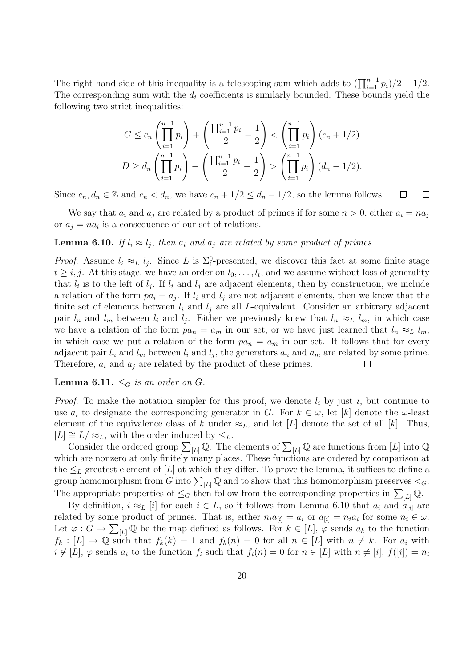The right hand side of this inequality is a telescoping sum which adds to  $(\prod_{i=1}^{n-1} p_i)/2 - 1/2$ . The corresponding sum with the  $d_i$  coefficients is similarly bounded. These bounds yield the following two strict inequalities:

$$
C \le c_n \left( \prod_{i=1}^{n-1} p_i \right) + \left( \frac{\prod_{i=1}^{n-1} p_i}{2} - \frac{1}{2} \right) < \left( \prod_{i=1}^{n-1} p_i \right) (c_n + 1/2)
$$
\n
$$
D \ge d_n \left( \prod_{i=1}^{n-1} p_i \right) - \left( \frac{\prod_{i=1}^{n-1} p_i}{2} - \frac{1}{2} \right) > \left( \prod_{i=1}^{n-1} p_i \right) (d_n - 1/2).
$$

Since  $c_n, d_n \in \mathbb{Z}$  and  $c_n < d_n$ , we have  $c_n + 1/2 \leq d_n - 1/2$ , so the lemma follows.  $\Box$  $\Box$ 

We say that  $a_i$  and  $a_j$  are related by a product of primes if for some  $n > 0$ , either  $a_i = na_j$ or  $a_j = na_i$  is a consequence of our set of relations.

#### **Lemma 6.10.** If  $l_i \approx l_j$ , then  $a_i$  and  $a_j$  are related by some product of primes.

*Proof.* Assume  $l_i \approx_L l_j$ . Since L is  $\Sigma_1^0$ -presented, we discover this fact at some finite stage  $t \geq i, j$ . At this stage, we have an order on  $l_0, \ldots, l_t$ , and we assume without loss of generality that  $l_i$  is to the left of  $l_j$ . If  $l_i$  and  $l_j$  are adjacent elements, then by construction, we include a relation of the form  $pa_i = a_j$ . If  $l_i$  and  $l_j$  are not adjacent elements, then we know that the finite set of elements between  $l_i$  and  $l_j$  are all L-equivalent. Consider an arbitrary adjacent pair  $l_n$  and  $l_m$  between  $l_i$  and  $l_j$ . Either we previously knew that  $l_n \approx_L l_m$ , in which case we have a relation of the form  $pa_n = a_m$  in our set, or we have just learned that  $l_n \approx_L l_m$ , in which case we put a relation of the form  $pa_n = a_m$  in our set. It follows that for every adjacent pair  $l_n$  and  $l_m$  between  $l_i$  and  $l_j$ , the generators  $a_n$  and  $a_m$  are related by some prime. Therefore,  $a_i$  and  $a_j$  are related by the product of these primes.  $\Box$ 

#### **Lemma 6.11.**  $\leq_G$  is an order on G.

*Proof.* To make the notation simpler for this proof, we denote  $l_i$  by just i, but continue to use  $a_i$  to designate the corresponding generator in G. For  $k \in \omega$ , let [k] denote the  $\omega$ -least element of the equivalence class of k under  $\approx_L$ , and let [L] denote the set of all [k]. Thus,  $[L] \cong L/\approx_L$ , with the order induced by  $\leq_L$ .

Consider the ordered group  $\sum_{[L]} \mathbb{Q}$ . The elements of  $\sum_{[L]} \mathbb{Q}$  are functions from [L] into  $\mathbb{Q}$ which are nonzero at only finitely many places. These functions are ordered by comparison at the  $\leq_L$ -greatest element of [L] at which they differ. To prove the lemma, it suffices to define a group homomorphism from G into  $\sum_{[L]} \mathbb{Q}$  and to show that this homomorphism preserves  $\lt_G$ . The appropriate properties of  $\leq_G$  then follow from the corresponding properties in  $\sum_{[L]} \mathbb{Q}$ .

By definition,  $i \approx_L [i]$  for each  $i \in L$ , so it follows from Lemma 6.10 that  $a_i$  and  $a_{[i]}$  are related by some product of primes. That is, either  $n_i a_{[i]} = a_i$  or  $a_{[i]} = n_i a_i$  for some  $n_i \in \omega$ . Let  $\varphi: G \to \sum_{L} \mathbb{Q}$  be the map defined as follows. For  $k \in [L], \varphi$  sends  $a_k$  to the function  $f_k : [L] \to \mathbb{Q}$  such that  $f_k(k) = 1$  and  $f_k(n) = 0$  for all  $n \in [L]$  with  $n \neq k$ . For  $a_i$  with  $i \notin [L], \varphi$  sends  $a_i$  to the function  $f_i$  such that  $f_i(n) = 0$  for  $n \in [L]$  with  $n \neq [i], f([i]) = n_i$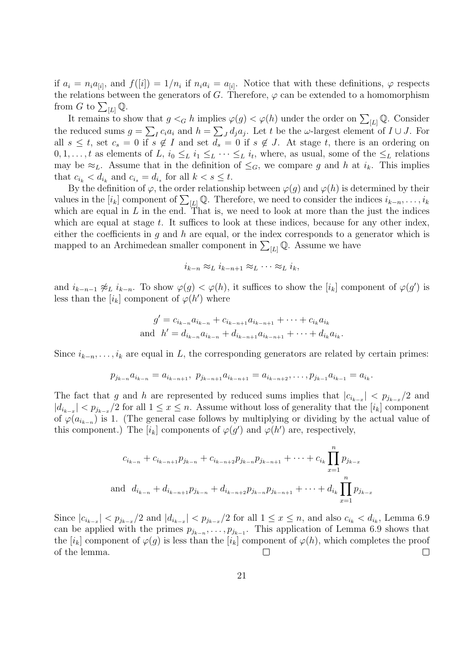if  $a_i = n_i a_{[i]}$ , and  $f([i]) = 1/n_i$  if  $n_i a_i = a_{[i]}$ . Notice that with these definitions,  $\varphi$  respects the relations between the generators of G. Therefore,  $\varphi$  can be extended to a homomorphism from G to  $\sum_{[L]}$  Q.

It remains to show that  $g \lt_G h$  implies  $\varphi(g) \lt \varphi(h)$  under the order on  $\sum_{[L]} \mathbb{Q}$ . Consider the reduced sums  $g = \sum_I c_i a_i$  and  $h = \sum_J d_j a_j$ . Let t be the  $\omega$ -largest element of  $I \cup J$ . For all  $s \leq t$ , set  $c_s = 0$  if  $s \notin I$  and set  $d_s = 0$  if  $s \notin J$ . At stage t, there is an ordering on  $0, 1, \ldots, t$  as elements of L,  $i_0 \leq_L i_1 \leq_L \cdots \leq_L i_t$ , where, as usual, some of the  $\leq_L$  relations may be  $\approx_L$ . Assume that in the definition of  $\leq_G$ , we compare g and h at  $i_k$ . This implies that  $c_{i_k} < d_{i_k}$  and  $c_{i_s} = d_{i_s}$  for all  $k < s \leq t$ .

By the definition of  $\varphi$ , the order relationship between  $\varphi(g)$  and  $\varphi(h)$  is determined by their values in the  $[i_k]$  component of  $\sum_{[L]} \mathbb{Q}$ . Therefore, we need to consider the indices  $i_{k-n}, \ldots, i_k$ which are equal in  $L$  in the end. That is, we need to look at more than the just the indices which are equal at stage  $t$ . It suffices to look at these indices, because for any other index, either the coefficients in q and h are equal, or the index corresponds to a generator which is mapped to an Archimedean smaller component in  $\sum_{[L]} \mathbb{Q}$ . Assume we have

$$
i_{k-n} \approx_L i_{k-n+1} \approx_L \cdots \approx_L i_k,
$$

and  $i_{k-n-1}\not\approx_L i_{k-n}$ . To show  $\varphi(g) < \varphi(h)$ , it suffices to show the  $[i_k]$  component of  $\varphi(g')$  is less than the  $[i_k]$  component of  $\varphi(h')$  where

$$
g' = c_{i_{k-n}} a_{i_{k-n}} + c_{i_{k-n+1}} a_{i_{k-n+1}} + \dots + c_{i_k} a_{i_k}
$$
  
and 
$$
h' = d_{i_{k-n}} a_{i_{k-n}} + d_{i_{k-n+1}} a_{i_{k-n+1}} + \dots + d_{i_k} a_{i_k}.
$$

Since  $i_{k-n}, \ldots, i_k$  are equal in L, the corresponding generators are related by certain primes:

$$
p_{j_{k-n}}a_{i_{k-n}} = a_{i_{k-n+1}}, \ p_{j_{k-n+1}}a_{i_{k-n+1}} = a_{i_{k-n+2}}, \ldots, p_{j_{k-1}}a_{i_{k-1}} = a_{i_k}.
$$

The fact that g and h are represented by reduced sums implies that  $|c_{i_{k-x}}| < p_{j_{k-x}}/2$  and  $|d_{i_{k-x}}| < p_{j_{k-x}}/2$  for all  $1 \leq x \leq n$ . Assume without loss of generality that the  $[i_k]$  component of  $\varphi(a_{i_{k-n}})$  is 1. (The general case follows by multiplying or dividing by the actual value of this component.) The  $[i_k]$  components of  $\varphi(g')$  and  $\varphi(h')$  are, respectively,

$$
c_{i_{k-n}} + c_{i_{k-n+1}} p_{j_{k-n}} + c_{i_{k-n+2}} p_{j_{k-n}} p_{j_{k-n+1}} + \cdots + c_{i_k} \prod_{x=1}^{n} p_{j_{k-x}}
$$
  
and  $d_{i_{k-n}} + d_{i_{k-n+1}} p_{j_{k-n}} + d_{i_{k-n+2}} p_{j_{k-n}} p_{j_{k-n+1}} + \cdots + d_{i_k} \prod_{x=1}^{n} p_{j_{k-x}}$ 

Since  $|c_{i_{k-x}}| < p_{j_{k-x}}/2$  and  $|d_{i_{k-x}}| < p_{j_{k-x}}/2$  for all  $1 \le x \le n$ , and also  $c_{i_k} < d_{i_k}$ , Lemma 6.9 can be applied with the primes  $p_{j_{k-n}}, \ldots, p_{j_{k-1}}$ . This application of Lemma 6.9 shows that the  $[i_k]$  component of  $\varphi(g)$  is less than the  $[i_k]$  component of  $\varphi(h)$ , which completes the proof of the lemma. П  $\Box$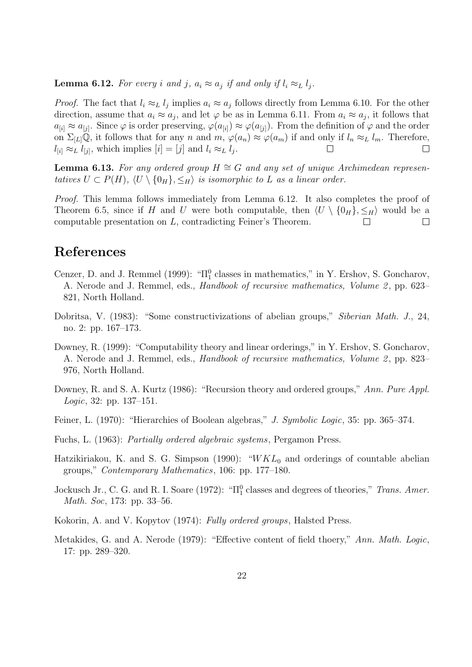**Lemma 6.12.** For every i and j,  $a_i \approx a_j$  if and only if  $l_i \approx_L l_j$ .

*Proof.* The fact that  $l_i \approx_L l_j$  implies  $a_i \approx a_j$  follows directly from Lemma 6.10. For the other direction, assume that  $a_i \approx a_j$ , and let  $\varphi$  be as in Lemma 6.11. From  $a_i \approx a_j$ , it follows that  $a_{[i]} \approx a_{[j]}$ . Since  $\varphi$  is order preserving,  $\varphi(a_{[i]}) \approx \varphi(a_{[j]})$ . From the definition of  $\varphi$  and the order on  $\Sigma_{L}(\mathbb{Q})$ , it follows that for any n and  $m, \varphi(a_n) \approx \varphi(a_m)$  if and only if  $l_n \approx_L l_m$ . Therefore,  $l_{[i]} \approx_L l_{[j]},$  which implies  $[i] = [j]$  and  $l_i \approx_L l_j.$  $\Box$ 

**Lemma 6.13.** For any ordered group  $H \cong G$  and any set of unique Archimedean representatives  $U \subset P(H)$ ,  $\langle U \setminus \{0_H\}, \leq_H \rangle$  is isomorphic to L as a linear order.

Proof. This lemma follows immediately from Lemma 6.12. It also completes the proof of Theorem 6.5, since if H and U were both computable, then  $\langle U \setminus \{0_H\}, \leq_H \rangle$  would be a computable presentation on L, contradicting Feiner's Theorem.  $\Box$  $\Box$ 

# References

- Cenzer, D. and J. Remmel (1999): " $\Pi_1^0$  classes in mathematics," in Y. Ershov, S. Goncharov, A. Nerode and J. Remmel, eds., *Handbook of recursive mathematics*, *Volume 2*, pp. 623– 821, North Holland.
- Dobritsa, V. (1983): "Some constructivizations of abelian groups," Siberian Math. J., 24, no. 2: pp. 167–173.
- Downey, R. (1999): "Computability theory and linear orderings," in Y. Ershov, S. Goncharov, A. Nerode and J. Remmel, eds., *Handbook of recursive mathematics*, *Volume 2*, pp. 823– 976, North Holland.
- Downey, R. and S. A. Kurtz (1986): "Recursion theory and ordered groups," Ann. Pure Appl. Logic, 32: pp. 137–151.
- Feiner, L. (1970): "Hierarchies of Boolean algebras," J. Symbolic Logic, 35: pp. 365–374.
- Fuchs, L. (1963): Partially ordered algebraic systems, Pergamon Press.
- Hatzikiriakou, K. and S. G. Simpson (1990): " $WKL_0$  and orderings of countable abelian groups," Contemporary Mathematics, 106: pp. 177–180.
- Jockusch Jr., C. G. and R. I. Soare (1972): " $\Pi_1^0$  classes and degrees of theories," Trans. Amer. Math. Soc, 173: pp. 33–56.
- Kokorin, A. and V. Kopytov (1974): Fully ordered groups, Halsted Press.
- Metakides, G. and A. Nerode (1979): "Effective content of field thoery," Ann. Math. Logic, 17: pp. 289–320.